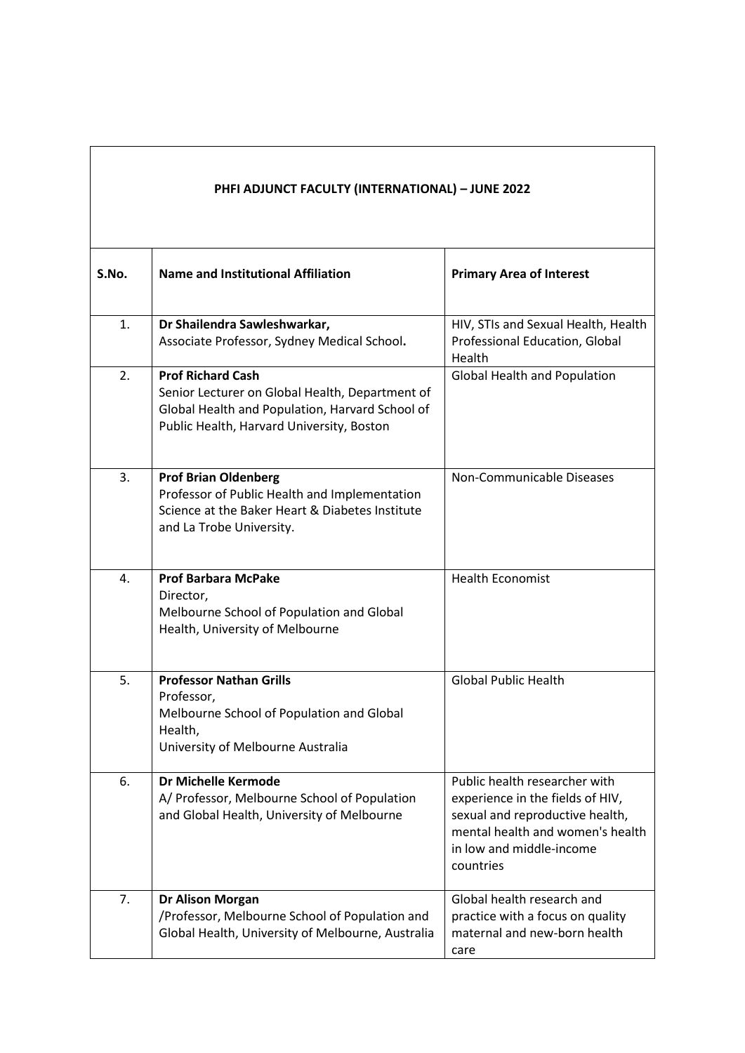| S.No. | <b>Name and Institutional Affiliation</b>                                                                                                                                   | <b>Primary Area of Interest</b>                                                                                                                                                   |
|-------|-----------------------------------------------------------------------------------------------------------------------------------------------------------------------------|-----------------------------------------------------------------------------------------------------------------------------------------------------------------------------------|
| 1.    | Dr Shailendra Sawleshwarkar,<br>Associate Professor, Sydney Medical School.                                                                                                 | HIV, STIs and Sexual Health, Health<br>Professional Education, Global<br>Health                                                                                                   |
| 2.    | <b>Prof Richard Cash</b><br>Senior Lecturer on Global Health, Department of<br>Global Health and Population, Harvard School of<br>Public Health, Harvard University, Boston | Global Health and Population                                                                                                                                                      |
| 3.    | <b>Prof Brian Oldenberg</b><br>Professor of Public Health and Implementation<br>Science at the Baker Heart & Diabetes Institute<br>and La Trobe University.                 | Non-Communicable Diseases                                                                                                                                                         |
| 4.    | <b>Prof Barbara McPake</b><br>Director,<br>Melbourne School of Population and Global<br>Health, University of Melbourne                                                     | <b>Health Economist</b>                                                                                                                                                           |
| 5.    | <b>Professor Nathan Grills</b><br>Professor,<br>Melbourne School of Population and Global<br>Health,<br>University of Melbourne Australia                                   | <b>Global Public Health</b>                                                                                                                                                       |
| 6.    | Dr Michelle Kermode<br>A/ Professor, Melbourne School of Population<br>and Global Health, University of Melbourne                                                           | Public health researcher with<br>experience in the fields of HIV,<br>sexual and reproductive health,<br>mental health and women's health<br>in low and middle-income<br>countries |
| 7.    | <b>Dr Alison Morgan</b><br>/Professor, Melbourne School of Population and<br>Global Health, University of Melbourne, Australia                                              | Global health research and<br>practice with a focus on quality<br>maternal and new-born health<br>care                                                                            |

**PHFI ADJUNCT FACULTY (INTERNATIONAL) – JUNE 2022**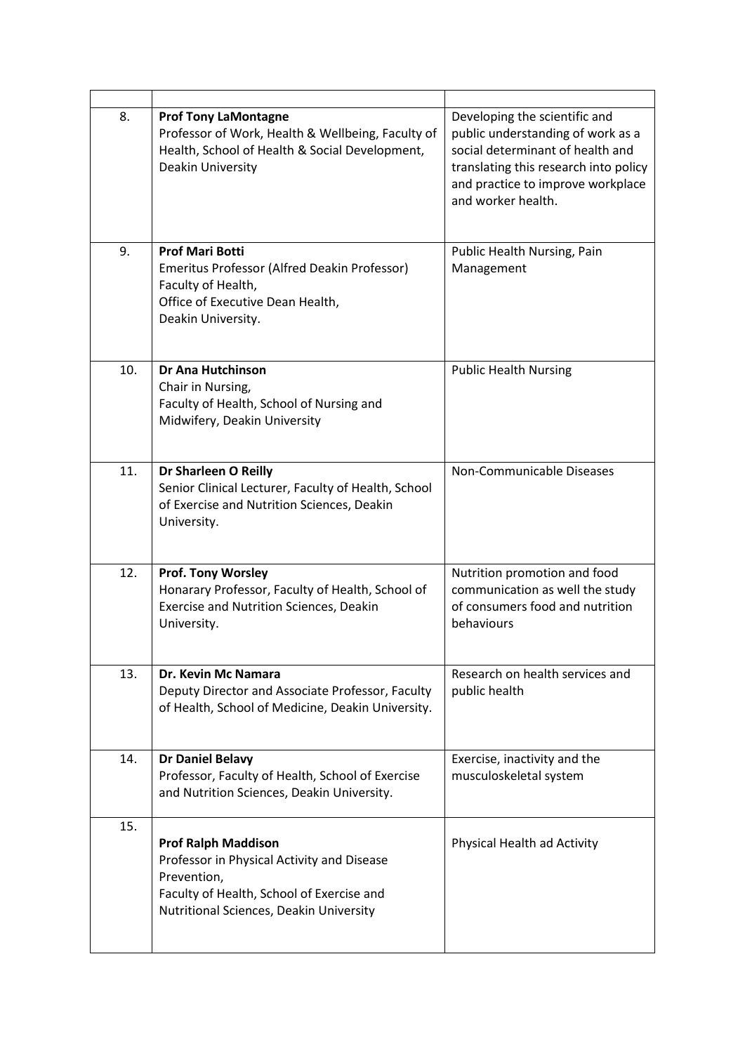| 8.  | <b>Prof Tony LaMontagne</b><br>Professor of Work, Health & Wellbeing, Faculty of<br>Health, School of Health & Social Development,<br>Deakin University                         | Developing the scientific and<br>public understanding of work as a<br>social determinant of health and<br>translating this research into policy<br>and practice to improve workplace<br>and worker health. |
|-----|---------------------------------------------------------------------------------------------------------------------------------------------------------------------------------|------------------------------------------------------------------------------------------------------------------------------------------------------------------------------------------------------------|
| 9.  | <b>Prof Mari Botti</b><br>Emeritus Professor (Alfred Deakin Professor)<br>Faculty of Health,<br>Office of Executive Dean Health,<br>Deakin University.                          | Public Health Nursing, Pain<br>Management                                                                                                                                                                  |
| 10. | <b>Dr Ana Hutchinson</b><br>Chair in Nursing,<br>Faculty of Health, School of Nursing and<br>Midwifery, Deakin University                                                       | <b>Public Health Nursing</b>                                                                                                                                                                               |
| 11. | Dr Sharleen O Reilly<br>Senior Clinical Lecturer, Faculty of Health, School<br>of Exercise and Nutrition Sciences, Deakin<br>University.                                        | Non-Communicable Diseases                                                                                                                                                                                  |
| 12. | <b>Prof. Tony Worsley</b><br>Honarary Professor, Faculty of Health, School of<br>Exercise and Nutrition Sciences, Deakin<br>University.                                         | Nutrition promotion and food<br>communication as well the study<br>of consumers food and nutrition<br>behaviours                                                                                           |
| 13. | Dr. Kevin Mc Namara<br>Deputy Director and Associate Professor, Faculty<br>of Health, School of Medicine, Deakin University.                                                    | Research on health services and<br>public health                                                                                                                                                           |
| 14. | <b>Dr Daniel Belavy</b><br>Professor, Faculty of Health, School of Exercise<br>and Nutrition Sciences, Deakin University.                                                       | Exercise, inactivity and the<br>musculoskeletal system                                                                                                                                                     |
| 15. | <b>Prof Ralph Maddison</b><br>Professor in Physical Activity and Disease<br>Prevention,<br>Faculty of Health, School of Exercise and<br>Nutritional Sciences, Deakin University | Physical Health ad Activity                                                                                                                                                                                |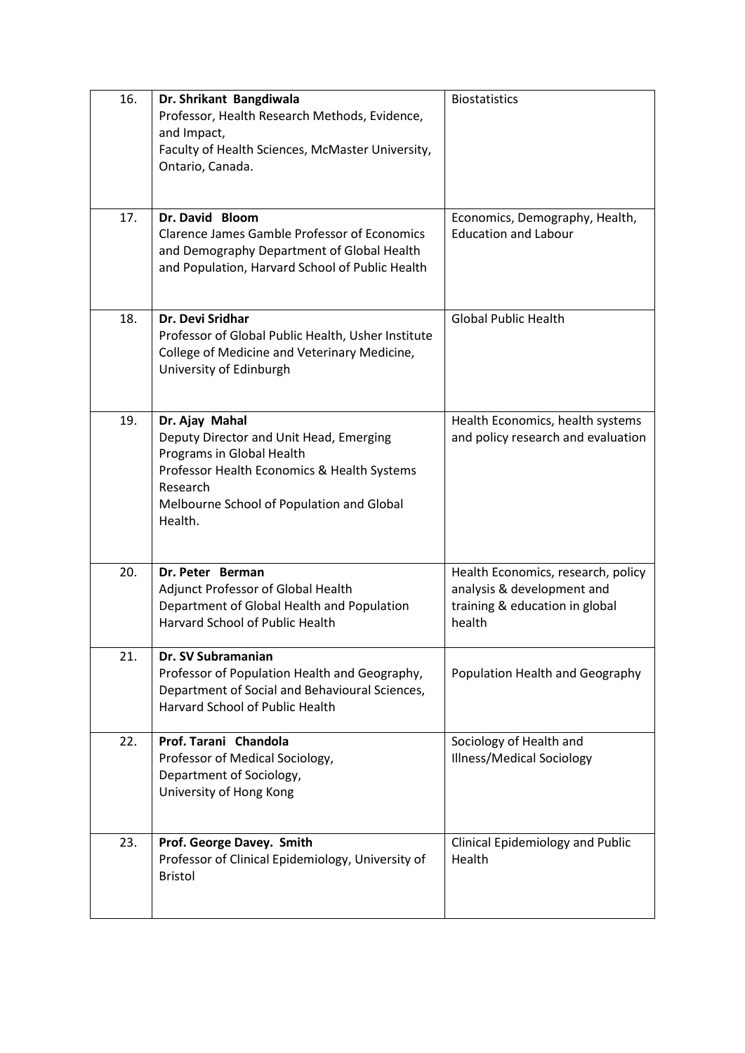| 16. | Dr. Shrikant Bangdiwala<br>Professor, Health Research Methods, Evidence,<br>and Impact,<br>Faculty of Health Sciences, McMaster University,<br>Ontario, Canada.                                           | <b>Biostatistics</b>                                                                                         |
|-----|-----------------------------------------------------------------------------------------------------------------------------------------------------------------------------------------------------------|--------------------------------------------------------------------------------------------------------------|
| 17. | Dr. David Bloom<br><b>Clarence James Gamble Professor of Economics</b><br>and Demography Department of Global Health<br>and Population, Harvard School of Public Health                                   | Economics, Demography, Health,<br><b>Education and Labour</b>                                                |
| 18. | <b>Dr. Devi Sridhar</b><br>Professor of Global Public Health, Usher Institute<br>College of Medicine and Veterinary Medicine,<br>University of Edinburgh                                                  | <b>Global Public Health</b>                                                                                  |
| 19. | Dr. Ajay Mahal<br>Deputy Director and Unit Head, Emerging<br>Programs in Global Health<br>Professor Health Economics & Health Systems<br>Research<br>Melbourne School of Population and Global<br>Health. | Health Economics, health systems<br>and policy research and evaluation                                       |
| 20. | Dr. Peter Berman<br>Adjunct Professor of Global Health<br>Department of Global Health and Population<br><b>Harvard School of Public Health</b>                                                            | Health Economics, research, policy<br>analysis & development and<br>training & education in global<br>health |
| 21. | Dr. SV Subramanian<br>Professor of Population Health and Geography,<br>Department of Social and Behavioural Sciences,<br>Harvard School of Public Health                                                  | Population Health and Geography                                                                              |
| 22. | Prof. Tarani Chandola<br>Professor of Medical Sociology,<br>Department of Sociology,<br>University of Hong Kong                                                                                           | Sociology of Health and<br><b>Illness/Medical Sociology</b>                                                  |
| 23. | Prof. George Davey. Smith<br>Professor of Clinical Epidemiology, University of<br><b>Bristol</b>                                                                                                          | Clinical Epidemiology and Public<br>Health                                                                   |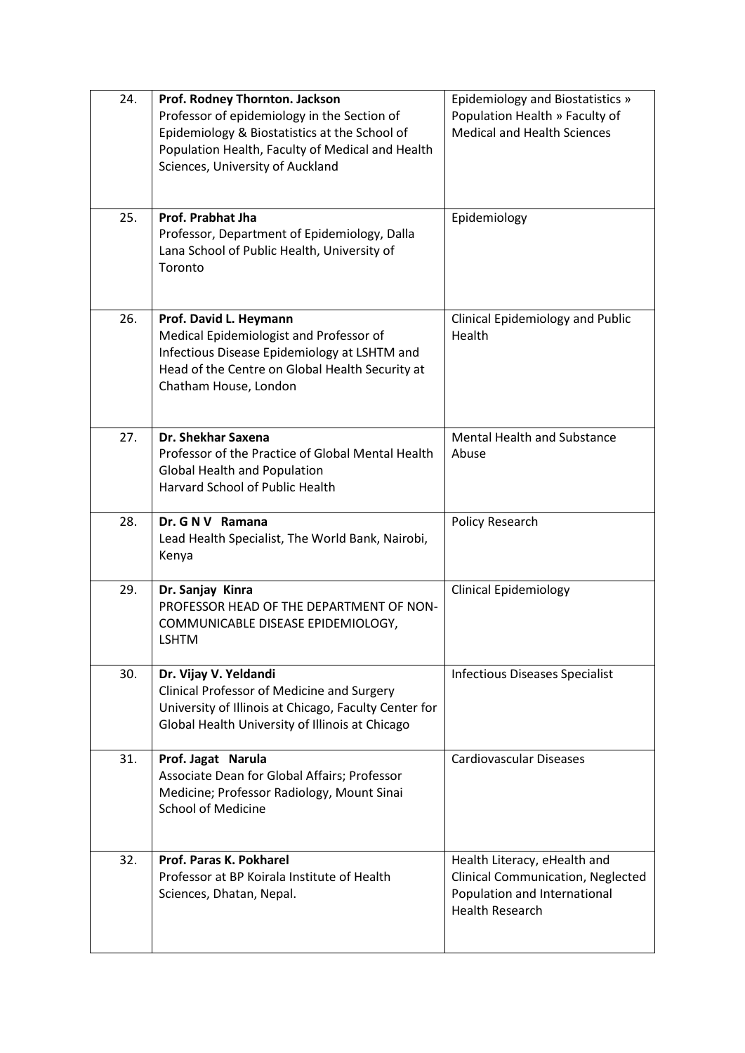| 24. | Prof. Rodney Thornton. Jackson<br>Professor of epidemiology in the Section of<br>Epidemiology & Biostatistics at the School of<br>Population Health, Faculty of Medical and Health<br>Sciences, University of Auckland | Epidemiology and Biostatistics »<br>Population Health » Faculty of<br><b>Medical and Health Sciences</b>                    |
|-----|------------------------------------------------------------------------------------------------------------------------------------------------------------------------------------------------------------------------|-----------------------------------------------------------------------------------------------------------------------------|
| 25. | Prof. Prabhat Jha<br>Professor, Department of Epidemiology, Dalla<br>Lana School of Public Health, University of<br>Toronto                                                                                            | Epidemiology                                                                                                                |
| 26. | Prof. David L. Heymann<br>Medical Epidemiologist and Professor of<br>Infectious Disease Epidemiology at LSHTM and<br>Head of the Centre on Global Health Security at<br>Chatham House, London                          | <b>Clinical Epidemiology and Public</b><br>Health                                                                           |
| 27. | Dr. Shekhar Saxena<br>Professor of the Practice of Global Mental Health<br><b>Global Health and Population</b><br><b>Harvard School of Public Health</b>                                                               | <b>Mental Health and Substance</b><br>Abuse                                                                                 |
| 28. | Dr. G N V Ramana<br>Lead Health Specialist, The World Bank, Nairobi,<br>Kenya                                                                                                                                          | Policy Research                                                                                                             |
| 29. | Dr. Sanjay Kinra<br>PROFESSOR HEAD OF THE DEPARTMENT OF NON-<br>COMMUNICABLE DISEASE EPIDEMIOLOGY,<br><b>LSHTM</b>                                                                                                     | <b>Clinical Epidemiology</b>                                                                                                |
| 30. | Dr. Vijay V. Yeldandi<br>Clinical Professor of Medicine and Surgery<br>University of Illinois at Chicago, Faculty Center for<br>Global Health University of Illinois at Chicago                                        | <b>Infectious Diseases Specialist</b>                                                                                       |
| 31. | Prof. Jagat Narula<br>Associate Dean for Global Affairs; Professor<br>Medicine; Professor Radiology, Mount Sinai<br><b>School of Medicine</b>                                                                          | <b>Cardiovascular Diseases</b>                                                                                              |
| 32. | Prof. Paras K. Pokharel<br>Professor at BP Koirala Institute of Health<br>Sciences, Dhatan, Nepal.                                                                                                                     | Health Literacy, eHealth and<br>Clinical Communication, Neglected<br>Population and International<br><b>Health Research</b> |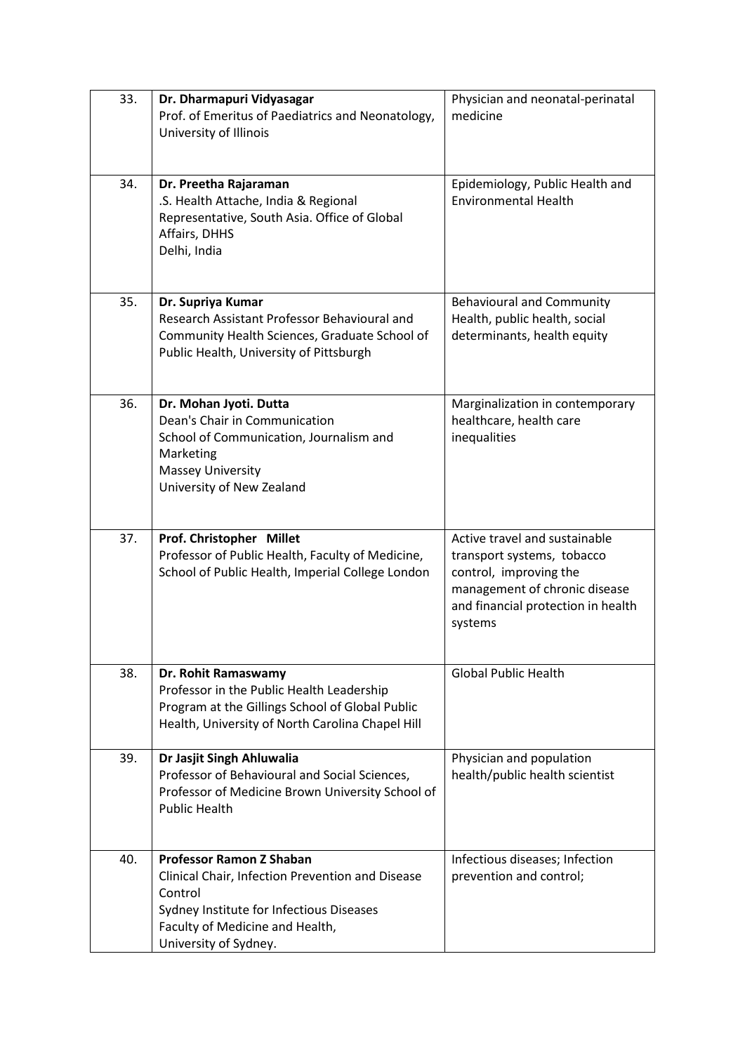| 33. | Dr. Dharmapuri Vidyasagar<br>Prof. of Emeritus of Paediatrics and Neonatology,<br>University of Illinois                                                                                               | Physician and neonatal-perinatal<br>medicine                                                                                                                            |
|-----|--------------------------------------------------------------------------------------------------------------------------------------------------------------------------------------------------------|-------------------------------------------------------------------------------------------------------------------------------------------------------------------------|
| 34. | Dr. Preetha Rajaraman<br>.S. Health Attache, India & Regional<br>Representative, South Asia. Office of Global<br>Affairs, DHHS<br>Delhi, India                                                         | Epidemiology, Public Health and<br><b>Environmental Health</b>                                                                                                          |
| 35. | Dr. Supriya Kumar<br>Research Assistant Professor Behavioural and<br>Community Health Sciences, Graduate School of<br>Public Health, University of Pittsburgh                                          | <b>Behavioural and Community</b><br>Health, public health, social<br>determinants, health equity                                                                        |
| 36. | Dr. Mohan Jyoti. Dutta<br>Dean's Chair in Communication<br>School of Communication, Journalism and<br>Marketing<br><b>Massey University</b><br>University of New Zealand                               | Marginalization in contemporary<br>healthcare, health care<br>inequalities                                                                                              |
| 37. | Prof. Christopher Millet<br>Professor of Public Health, Faculty of Medicine,<br>School of Public Health, Imperial College London                                                                       | Active travel and sustainable<br>transport systems, tobacco<br>control, improving the<br>management of chronic disease<br>and financial protection in health<br>systems |
| 38. | Dr. Rohit Ramaswamy<br>Professor in the Public Health Leadership<br>Program at the Gillings School of Global Public<br>Health, University of North Carolina Chapel Hill                                | <b>Global Public Health</b>                                                                                                                                             |
| 39. | Dr Jasjit Singh Ahluwalia<br>Professor of Behavioural and Social Sciences,<br>Professor of Medicine Brown University School of<br><b>Public Health</b>                                                 | Physician and population<br>health/public health scientist                                                                                                              |
| 40. | <b>Professor Ramon Z Shaban</b><br>Clinical Chair, Infection Prevention and Disease<br>Control<br>Sydney Institute for Infectious Diseases<br>Faculty of Medicine and Health,<br>University of Sydney. | Infectious diseases; Infection<br>prevention and control;                                                                                                               |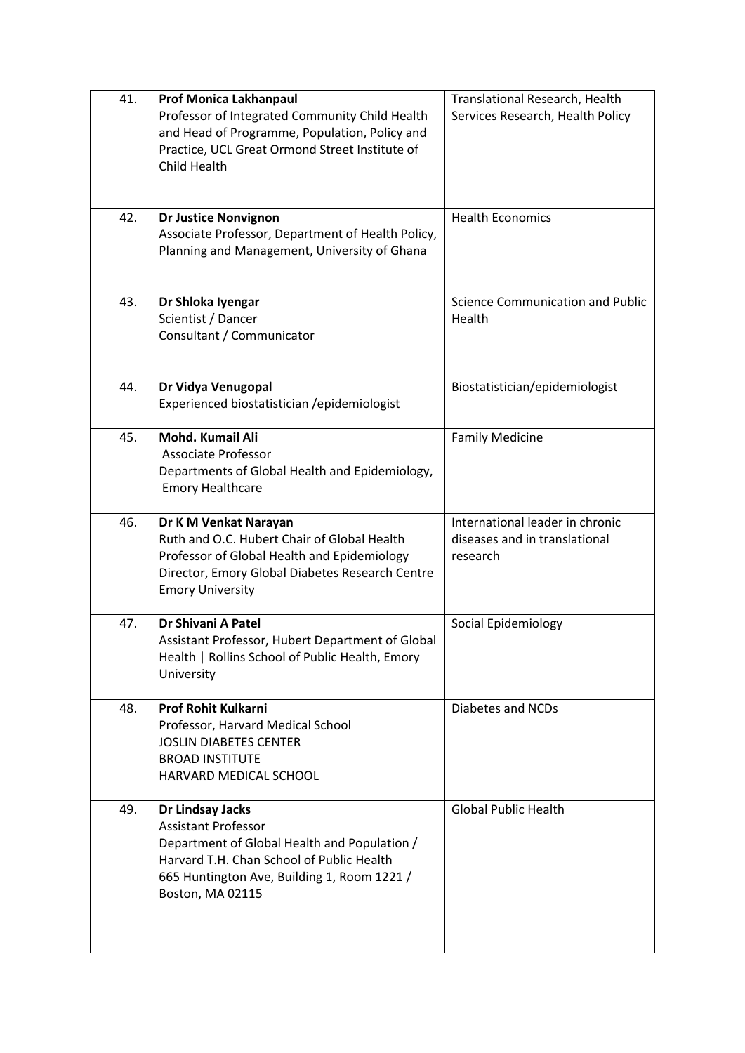| 41. | <b>Prof Monica Lakhanpaul</b><br>Professor of Integrated Community Child Health<br>and Head of Programme, Population, Policy and<br>Practice, UCL Great Ormond Street Institute of<br>Child Health             | Translational Research, Health<br>Services Research, Health Policy           |
|-----|----------------------------------------------------------------------------------------------------------------------------------------------------------------------------------------------------------------|------------------------------------------------------------------------------|
| 42. | <b>Dr Justice Nonvignon</b><br>Associate Professor, Department of Health Policy,<br>Planning and Management, University of Ghana                                                                               | <b>Health Economics</b>                                                      |
| 43. | Dr Shloka Iyengar<br>Scientist / Dancer<br>Consultant / Communicator                                                                                                                                           | Science Communication and Public<br>Health                                   |
| 44. | Dr Vidya Venugopal<br>Experienced biostatistician /epidemiologist                                                                                                                                              | Biostatistician/epidemiologist                                               |
| 45. | <b>Mohd. Kumail Ali</b><br><b>Associate Professor</b><br>Departments of Global Health and Epidemiology,<br><b>Emory Healthcare</b>                                                                             | <b>Family Medicine</b>                                                       |
| 46. | Dr K M Venkat Narayan<br>Ruth and O.C. Hubert Chair of Global Health<br>Professor of Global Health and Epidemiology<br>Director, Emory Global Diabetes Research Centre<br><b>Emory University</b>              | International leader in chronic<br>diseases and in translational<br>research |
| 47. | Dr Shivani A Patel<br>Assistant Professor, Hubert Department of Global<br>Health   Rollins School of Public Health, Emory<br>University                                                                        | Social Epidemiology                                                          |
| 48. | <b>Prof Rohit Kulkarni</b><br>Professor, Harvard Medical School<br><b>JOSLIN DIABETES CENTER</b><br><b>BROAD INSTITUTE</b><br>HARVARD MEDICAL SCHOOL                                                           | Diabetes and NCDs                                                            |
| 49. | Dr Lindsay Jacks<br><b>Assistant Professor</b><br>Department of Global Health and Population /<br>Harvard T.H. Chan School of Public Health<br>665 Huntington Ave, Building 1, Room 1221 /<br>Boston, MA 02115 | <b>Global Public Health</b>                                                  |